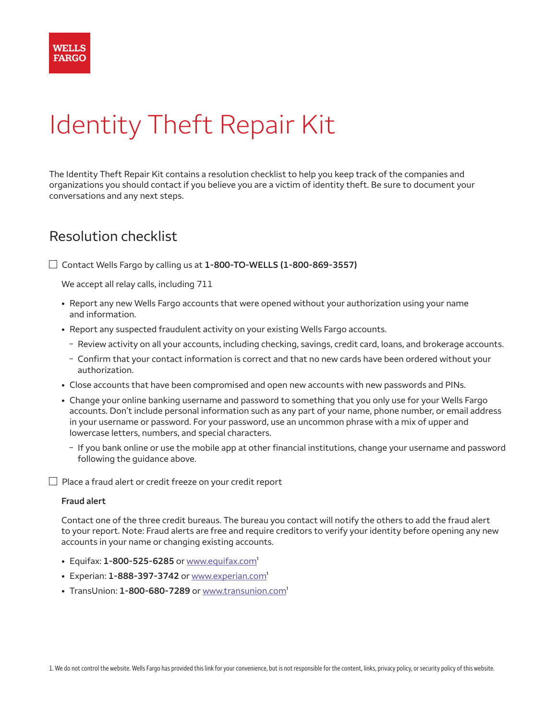

## Identity Theft Repair Kit

The Identity Theft Repair Kit contains a resolution checklist to help you keep track of the companies and organizations you should contact if you believe you are a victim of identity theft. Be sure to document your conversations and any next steps.

## Resolution checklist

 $\Box$  Contact Wells Fargo by calling us at  $1-800-TO-WELLS$   $(1-800-869-3557)$ 

We accept all relay calls, including 711

- Report any new Wells Fargo accounts that were opened without your authorization using your name and information.
- Report any suspected fraudulent activity on your existing Wells Fargo accounts.
	- Review activity on all your accounts, including checking, savings, credit card, loans, and brokerage accounts.
	- Confirm that your contact information is correct and that no new cards have been ordered without your authorization.
- Close accounts that have been compromised and open new accounts with new passwords and PINs.
- Change your online banking username and password to something that you only use for your Wells Fargo accounts. Don't include personal information such as any part of your name, phone number, or email address in your username or password. For your password, use an uncommon phrase with a mix of upper and lowercase letters, numbers, and special characters.
	- < If you bank online or use the mobile app at other financial institutions, change your username and password following the guidance above.

 $\Box$  Place a fraud alert or credit freeze on your credit report

## **Fraud alert**

Contact one of the three credit bureaus. The bureau you contact will notify the others to add the fraud alert to your report. Note: Fraud alerts are free and require creditors to verify your identity before opening any new accounts in your name or changing existing accounts.

- $\cdot$  Equifax:  $1 800 525 6285$  or [www.equifax.com](http://www.equifax.com)<sup>1</sup>
- Experian: 1-888-397-3742 or [www.experian.com](http://www.experian.com)<sup>1</sup>
- $\cdot$  TransUnion:  $1 800 680 7289$  or [www.transunion.com](http://www.transunion.com)<sup>1</sup>